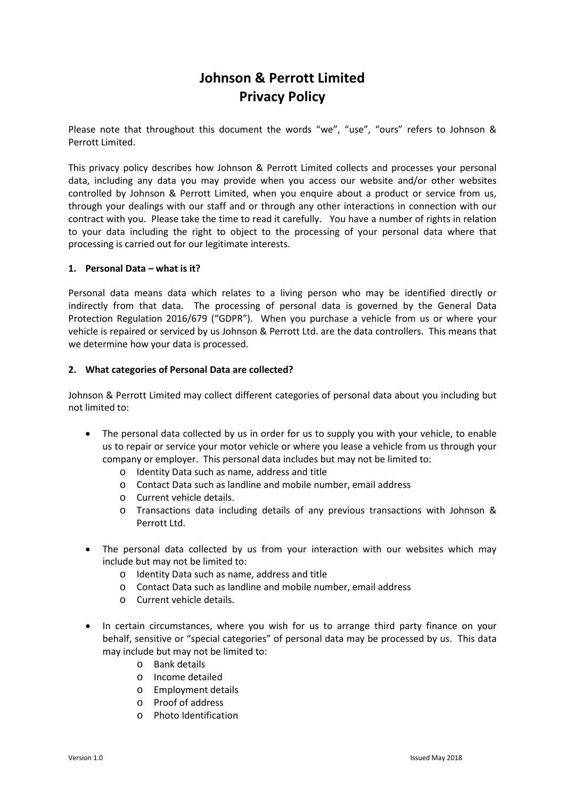# **Johnson & Perrott Limited Privacy Policy**

Please note that throughout this document the words "we", "use", "ours" refers to Johnson & Perrott Limited.

This privacy policy describes how Johnson & Perrott Limited collects and processes your personal data, including any data you may provide when you access our website and/or other websites controlled by Johnson & Perrott Limited, when you enquire about a product or service from us, through your dealings with our staff and or through any other interactions in connection with our contract with you. Please take the time to read it carefully. You have a number of rights in relation to your data including the right to object to the processing of your personal data where that processing is carried out for our legitimate interests.

#### **1. Personal Data – what is it?**

Personal data means data which relates to a living person who may be identified directly or indirectly from that data. The processing of personal data is governed by the General Data Protection Regulation 2016/679 ("GDPR"). When you purchase a vehicle from us or where your vehicle is repaired or serviced by us Johnson & Perrott Ltd. are the data controllers. This means that we determine how your data is processed.

#### **2. What categories of Personal Data are collected?**

Johnson & Perrott Limited may collect different categories of personal data about you including but not limited to:

- The personal data collected by us in order for us to supply you with your vehicle, to enable us to repair or service your motor vehicle or where you lease a vehicle from us through your company or employer. This personal data includes but may not be limited to:
	- o Identity Data such as name, address and title
	- o Contact Data such as landline and mobile number, email address
	- o Current vehicle details.
	- o Transactions data including details of any previous transactions with Johnson & Perrott Ltd.
- The personal data collected by us from your interaction with our websites which may include but may not be limited to:
	- o Identity Data such as name, address and title
	- o Contact Data such as landline and mobile number, email address
	- o Current vehicle details.
- In certain circumstances, where you wish for us to arrange third party finance on your behalf, sensitive or "special categories" of personal data may be processed by us. This data may include but may not be limited to:
	- o Bank details
	- o Income detailed
	- o Employment details
	- o Proof of address
	- o Photo Identification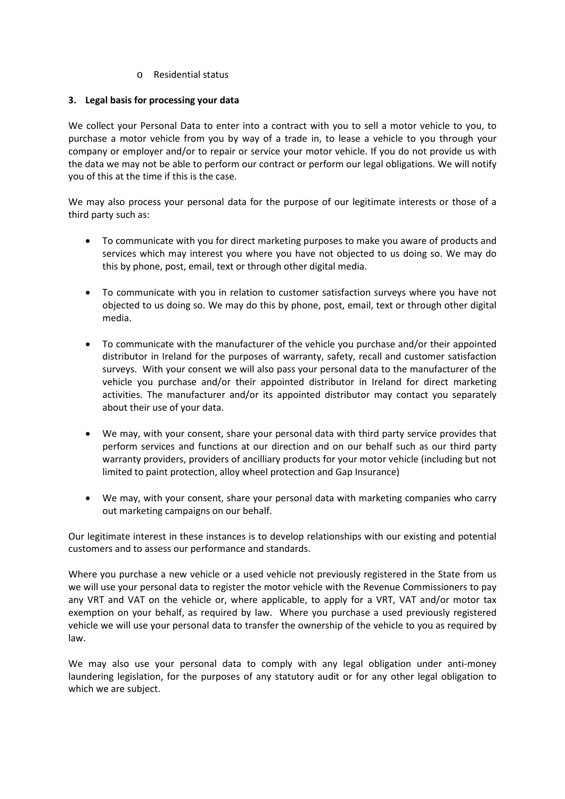o Residential status

### **3. Legal basis for processing your data**

We collect your Personal Data to enter into a contract with you to sell a motor vehicle to you, to purchase a motor vehicle from you by way of a trade in, to lease a vehicle to you through your company or employer and/or to repair or service your motor vehicle. If you do not provide us with the data we may not be able to perform our contract or perform our legal obligations. We will notify you of this at the time if this is the case.

We may also process your personal data for the purpose of our legitimate interests or those of a third party such as:

- To communicate with you for direct marketing purposes to make you aware of products and services which may interest you where you have not objected to us doing so. We may do this by phone, post, email, text or through other digital media.
- To communicate with you in relation to customer satisfaction surveys where you have not objected to us doing so. We may do this by phone, post, email, text or through other digital media.
- To communicate with the manufacturer of the vehicle you purchase and/or their appointed distributor in Ireland for the purposes of warranty, safety, recall and customer satisfaction surveys. With your consent we will also pass your personal data to the manufacturer of the vehicle you purchase and/or their appointed distributor in Ireland for direct marketing activities. The manufacturer and/or its appointed distributor may contact you separately about their use of your data.
- We may, with your consent, share your personal data with third party service provides that perform services and functions at our direction and on our behalf such as our third party warranty providers, providers of ancilliary products for your motor vehicle (including but not limited to paint protection, alloy wheel protection and Gap Insurance)
- We may, with your consent, share your personal data with marketing companies who carry out marketing campaigns on our behalf.

Our legitimate interest in these instances is to develop relationships with our existing and potential customers and to assess our performance and standards.

Where you purchase a new vehicle or a used vehicle not previously registered in the State from us we will use your personal data to register the motor vehicle with the Revenue Commissioners to pay any VRT and VAT on the vehicle or, where applicable, to apply for a VRT, VAT and/or motor tax exemption on your behalf, as required by law. Where you purchase a used previously registered vehicle we will use your personal data to transfer the ownership of the vehicle to you as required by law.

We may also use your personal data to comply with any legal obligation under anti-money laundering legislation, for the purposes of any statutory audit or for any other legal obligation to which we are subject.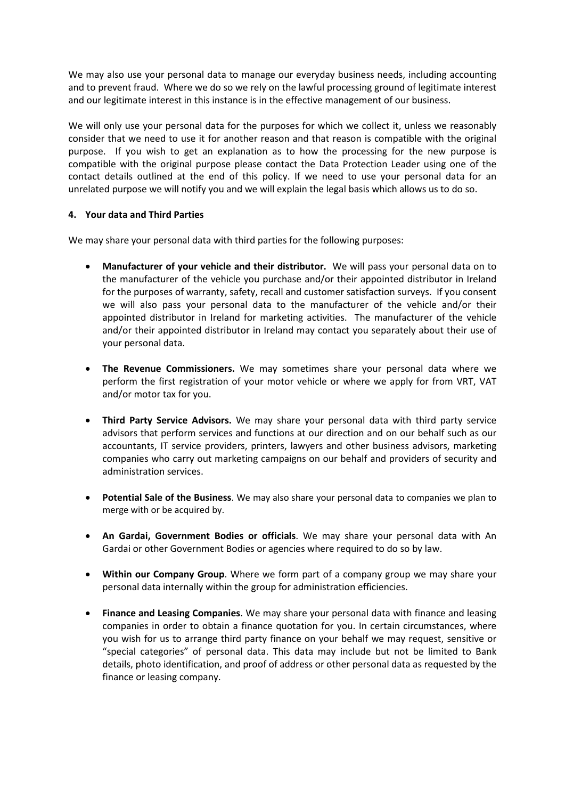We may also use your personal data to manage our everyday business needs, including accounting and to prevent fraud. Where we do so we rely on the lawful processing ground of legitimate interest and our legitimate interest in this instance is in the effective management of our business.

We will only use your personal data for the purposes for which we collect it, unless we reasonably consider that we need to use it for another reason and that reason is compatible with the original purpose. If you wish to get an explanation as to how the processing for the new purpose is compatible with the original purpose please contact the Data Protection Leader using one of the contact details outlined at the end of this policy. If we need to use your personal data for an unrelated purpose we will notify you and we will explain the legal basis which allows us to do so.

# **4. Your data and Third Parties**

We may share your personal data with third parties for the following purposes:

- **Manufacturer of your vehicle and their distributor.** We will pass your personal data on to the manufacturer of the vehicle you purchase and/or their appointed distributor in Ireland for the purposes of warranty, safety, recall and customer satisfaction surveys. If you consent we will also pass your personal data to the manufacturer of the vehicle and/or their appointed distributor in Ireland for marketing activities. The manufacturer of the vehicle and/or their appointed distributor in Ireland may contact you separately about their use of your personal data.
- **The Revenue Commissioners.** We may sometimes share your personal data where we perform the first registration of your motor vehicle or where we apply for from VRT, VAT and/or motor tax for you.
- **Third Party Service Advisors.** We may share your personal data with third party service advisors that perform services and functions at our direction and on our behalf such as our accountants, IT service providers, printers, lawyers and other business advisors, marketing companies who carry out marketing campaigns on our behalf and providers of security and administration services.
- **Potential Sale of the Business**. We may also share your personal data to companies we plan to merge with or be acquired by.
- **An Gardai, Government Bodies or officials**. We may share your personal data with An Gardai or other Government Bodies or agencies where required to do so by law.
- **Within our Company Group**. Where we form part of a company group we may share your personal data internally within the group for administration efficiencies.
- **Finance and Leasing Companies**. We may share your personal data with finance and leasing companies in order to obtain a finance quotation for you. In certain circumstances, where you wish for us to arrange third party finance on your behalf we may request, sensitive or "special categories" of personal data. This data may include but not be limited to Bank details, photo identification, and proof of address or other personal data as requested by the finance or leasing company.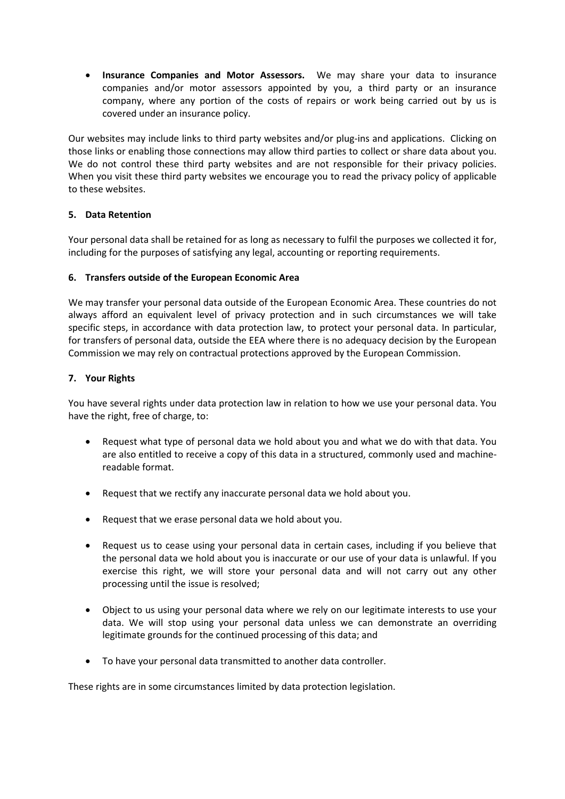• **Insurance Companies and Motor Assessors.** We may share your data to insurance companies and/or motor assessors appointed by you, a third party or an insurance company, where any portion of the costs of repairs or work being carried out by us is covered under an insurance policy.

Our websites may include links to third party websites and/or plug-ins and applications. Clicking on those links or enabling those connections may allow third parties to collect or share data about you. We do not control these third party websites and are not responsible for their privacy policies. When you visit these third party websites we encourage you to read the privacy policy of applicable to these websites.

### **5. Data Retention**

Your personal data shall be retained for as long as necessary to fulfil the purposes we collected it for, including for the purposes of satisfying any legal, accounting or reporting requirements.

### **6. Transfers outside of the European Economic Area**

We may transfer your personal data outside of the European Economic Area. These countries do not always afford an equivalent level of privacy protection and in such circumstances we will take specific steps, in accordance with data protection law, to protect your personal data. In particular, for transfers of personal data, outside the EEA where there is no adequacy decision by the European Commission we may rely on contractual protections approved by the European Commission.

### **7. Your Rights**

You have several rights under data protection law in relation to how we use your personal data. You have the right, free of charge, to:

- Request what type of personal data we hold about you and what we do with that data. You are also entitled to receive a copy of this data in a structured, commonly used and machinereadable format.
- Request that we rectify any inaccurate personal data we hold about you.
- Request that we erase personal data we hold about you.
- Request us to cease using your personal data in certain cases, including if you believe that the personal data we hold about you is inaccurate or our use of your data is unlawful. If you exercise this right, we will store your personal data and will not carry out any other processing until the issue is resolved;
- Object to us using your personal data where we rely on our legitimate interests to use your data. We will stop using your personal data unless we can demonstrate an overriding legitimate grounds for the continued processing of this data; and
- To have your personal data transmitted to another data controller.

These rights are in some circumstances limited by data protection legislation.